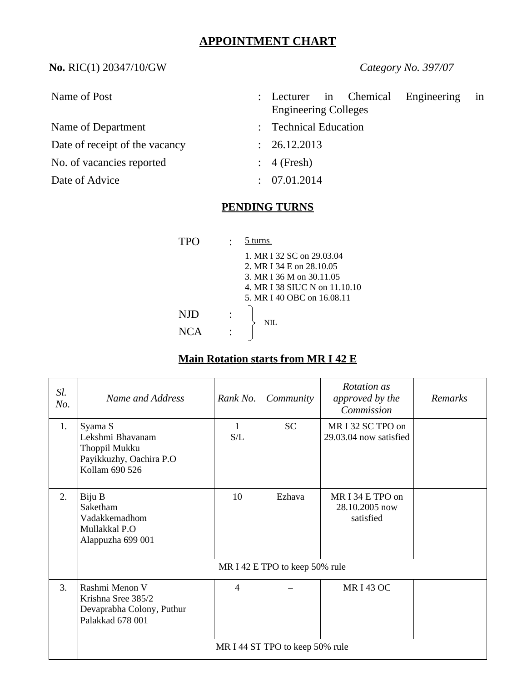# **APPOINTMENT CHART**

**No.** RIC(1) 20347/10/GW *Category No. 397/07*

| Name of Post                   |            | : Lecturer in Chemical<br>Engineering<br>in |
|--------------------------------|------------|---------------------------------------------|
|                                |            | <b>Engineering Colleges</b>                 |
| Name of Department             |            | : Technical Education                       |
| Date of receipt of the vacancy | $\sim 100$ | 26.12.2013                                  |
| No. of vacancies reported      |            | $\therefore$ 4 (Fresh)                      |
| Date of Advice                 |            | 07.01.2014                                  |

### **PENDING TURNS**

| 'TPO       | turns                                                                                                                                            |
|------------|--------------------------------------------------------------------------------------------------------------------------------------------------|
|            | 1. MR I 32 SC on 29.03.04<br>2. MR I 34 E on 28.10.05<br>3. MR I 36 M on 30.11.05<br>4. MR I 38 SIUC N on 11.10.10<br>5. MR I 40 OBC on 16.08.11 |
| NID<br>NCA | NH.                                                                                                                                              |

# **Main Rotation starts from MR I 42 E**

| Sl.<br>No. | Name and Address                                                                          | Rank No.            | Community | Rotation as<br>approved by the<br>Commission    | Remarks |
|------------|-------------------------------------------------------------------------------------------|---------------------|-----------|-------------------------------------------------|---------|
| 1.         | Syama S<br>Lekshmi Bhavanam<br>Thoppil Mukku<br>Payikkuzhy, Oachira P.O<br>Kollam 690 526 | $\mathbf{1}$<br>S/L | <b>SC</b> | MR I 32 SC TPO on<br>29.03.04 now satisfied     |         |
| 2.         | Biju B<br>Saketham<br>Vadakkemadhom<br>Mullakkal P.O<br>Alappuzha 699 001                 | 10                  | Ezhava    | MR I 34 E TPO on<br>28.10.2005 now<br>satisfied |         |
|            | MR I 42 E TPO to keep 50% rule                                                            |                     |           |                                                 |         |
| 3.         | Rashmi Menon V<br>Krishna Sree 385/2<br>Devaprabha Colony, Puthur<br>Palakkad 678 001     | $\overline{4}$      |           | <b>MRI43 OC</b>                                 |         |
|            | MR I 44 ST TPO to keep 50% rule                                                           |                     |           |                                                 |         |